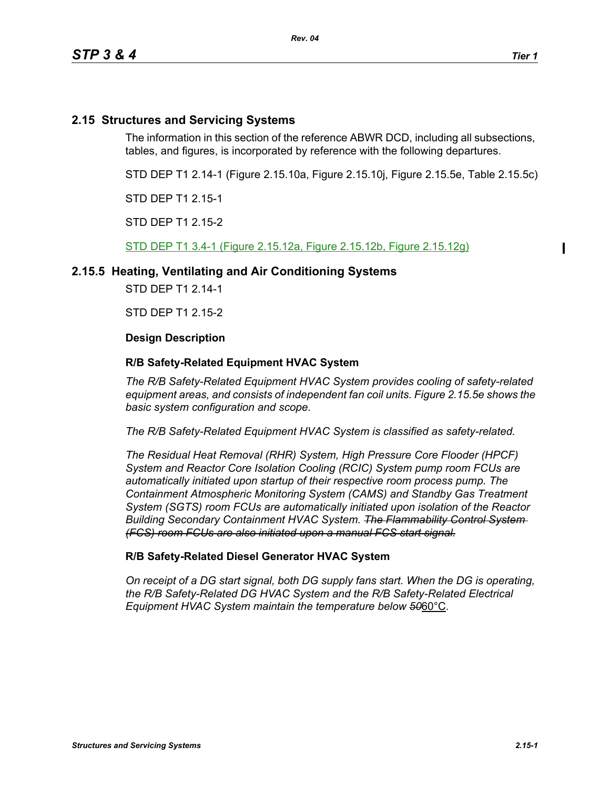## **2.15 Structures and Servicing Systems**

The information in this section of the reference ABWR DCD, including all subsections, tables, and figures, is incorporated by reference with the following departures.

STD DEP T1 2.14-1 (Figure 2.15.10a, Figure 2.15.10j, Figure 2.15.5e, Table 2.15.5c)

STD DEP T1 2.15-1

STD DEP T1 2.15-2

STD DEP T1 3.4-1 (Figure 2.15.12a, Figure 2.15.12b, Figure 2.15.12g)

### **2.15.5 Heating, Ventilating and Air Conditioning Systems**

STD DEP T1 2.14-1

STD DFP T1 2 15-2

#### **Design Description**

#### **R/B Safety-Related Equipment HVAC System**

*The R/B Safety-Related Equipment HVAC System provides cooling of safety-related equipment areas, and consists of independent fan coil units. Figure 2.15.5e shows the basic system configuration and scope.*

*The R/B Safety-Related Equipment HVAC System is classified as safety-related.*

*The Residual Heat Removal (RHR) System, High Pressure Core Flooder (HPCF) System and Reactor Core Isolation Cooling (RCIC) System pump room FCUs are automatically initiated upon startup of their respective room process pump. The Containment Atmospheric Monitoring System (CAMS) and Standby Gas Treatment System (SGTS) room FCUs are automatically initiated upon isolation of the Reactor Building Secondary Containment HVAC System. The Flammability Control System (FCS) room FCUs are also initiated upon a manual FCS start signal.*

#### **R/B Safety-Related Diesel Generator HVAC System**

*On receipt of a DG start signal, both DG supply fans start. When the DG is operating, the R/B Safety-Related DG HVAC System and the R/B Safety-Related Electrical Equipment HVAC System maintain the temperature below 50*60°C*.*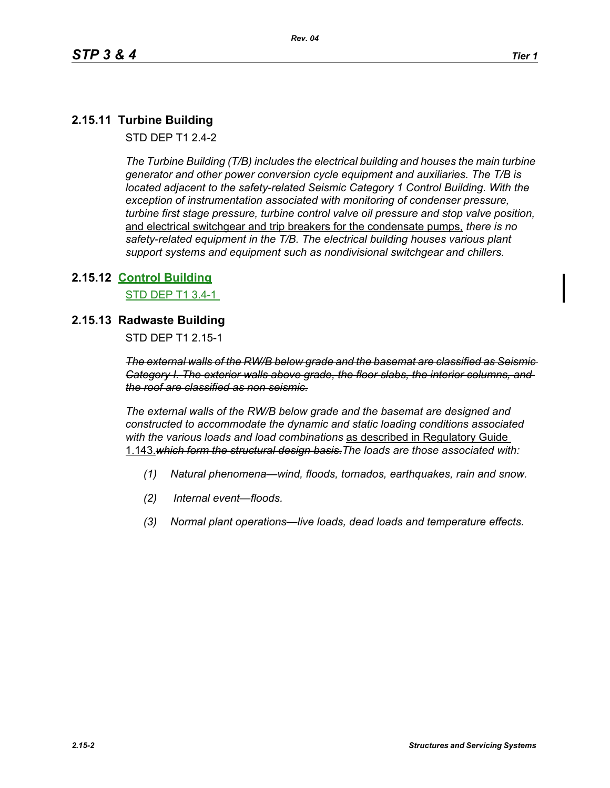# **2.15.11 Turbine Building**

STD DEP T1 2.4-2

*The Turbine Building (T/B) includes the electrical building and houses the main turbine generator and other power conversion cycle equipment and auxiliaries. The T/B is located adjacent to the safety-related Seismic Category 1 Control Building. With the exception of instrumentation associated with monitoring of condenser pressure, turbine first stage pressure, turbine control valve oil pressure and stop valve position,*  and electrical switchgear and trip breakers for the condensate pumps, *there is no safety-related equipment in the T/B. The electrical building houses various plant support systems and equipment such as nondivisional switchgear and chillers.*

### **2.15.12 Control Building**

STD DEP T1 3.4-1

### **2.15.13 Radwaste Building**

STD DEP T1 2.15-1

*The external walls of the RW/B below grade and the basemat are classified as Seismic Category I. The exterior walls above grade, the floor slabs, the interior columns, and the roof are classified as non seismic.*

*The external walls of the RW/B below grade and the basemat are designed and constructed to accommodate the dynamic and static loading conditions associated with the various loads and load combinations* as described in Regulatory Guide 1.143.*which form the structural design basis.The loads are those associated with:*

- *(1) Natural phenomena—wind, floods, tornados, earthquakes, rain and snow.*
- *(2) Internal event—floods.*
- *(3) Normal plant operations—live loads, dead loads and temperature effects.*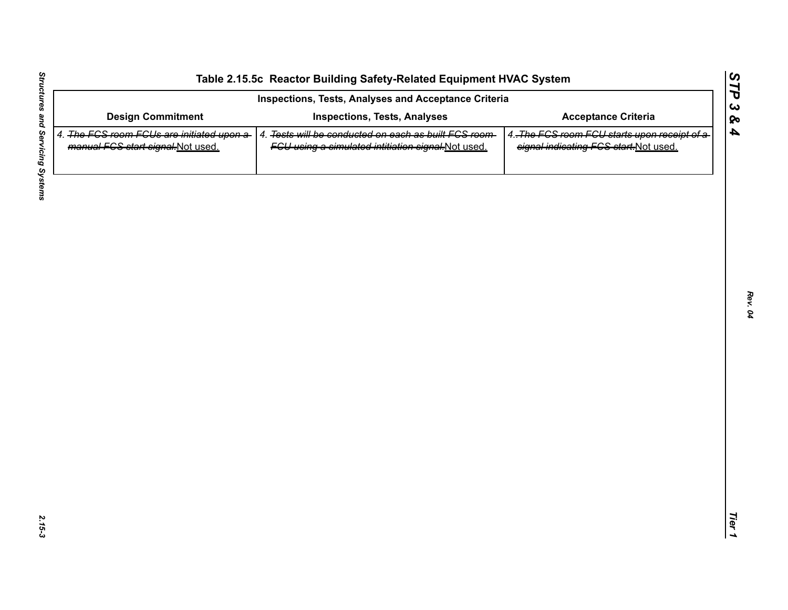| <b>Design Commitment</b><br>4. The FGS room FGUs are initiated upon a-<br>manual FCS start signal-Not used. | <b>Inspections, Tests, Analyses</b><br>4. Tests will be conducted on each as built FCS room- | <b>Acceptance Criteria</b>                                                            |
|-------------------------------------------------------------------------------------------------------------|----------------------------------------------------------------------------------------------|---------------------------------------------------------------------------------------|
|                                                                                                             |                                                                                              |                                                                                       |
|                                                                                                             | FGU using a simulated intitiation signal-Not used.                                           | 4. The FCS room FCU starts upon receipt of a<br>signal indicating FCS start-Not used. |
|                                                                                                             |                                                                                              |                                                                                       |
|                                                                                                             |                                                                                              |                                                                                       |
|                                                                                                             |                                                                                              |                                                                                       |
|                                                                                                             |                                                                                              |                                                                                       |
|                                                                                                             |                                                                                              |                                                                                       |
|                                                                                                             |                                                                                              |                                                                                       |
|                                                                                                             |                                                                                              |                                                                                       |
|                                                                                                             |                                                                                              |                                                                                       |
|                                                                                                             |                                                                                              |                                                                                       |
|                                                                                                             |                                                                                              |                                                                                       |

L,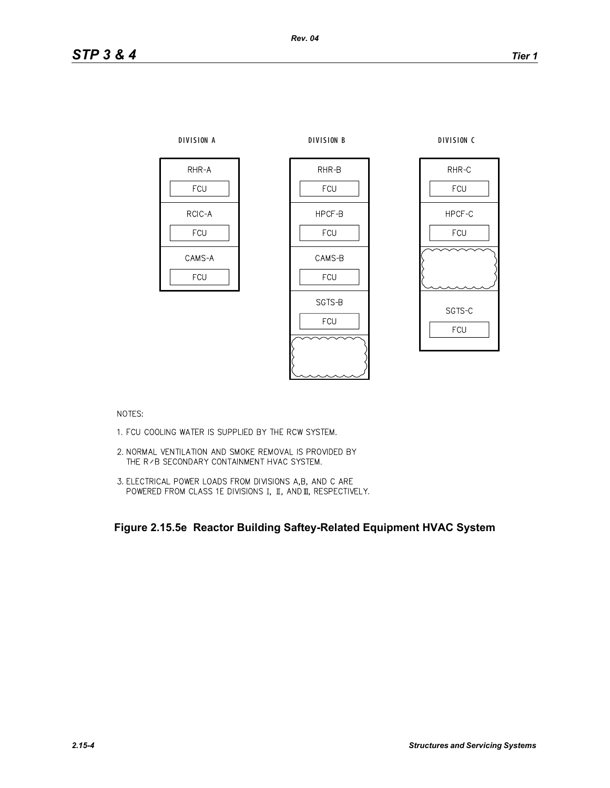

NOTES:

- 1. FCU COOLING WATER IS SUPPLIED BY THE RCW SYSTEM.
- 2. NORMAL VENTILATION AND SMOKE REMOVAL IS PROVIDED BY THE R / B SECONDARY CONTAINMENT HVAC SYSTEM.
- 3. ELECTRICAL POWER LOADS FROM DIVISIONS A,B, AND C ARE POWERED FROM CLASS 1E DIVISIONS I, II, AND II, RESPECTIVELY.

**Figure 2.15.5e Reactor Building Saftey-Related Equipment HVAC System**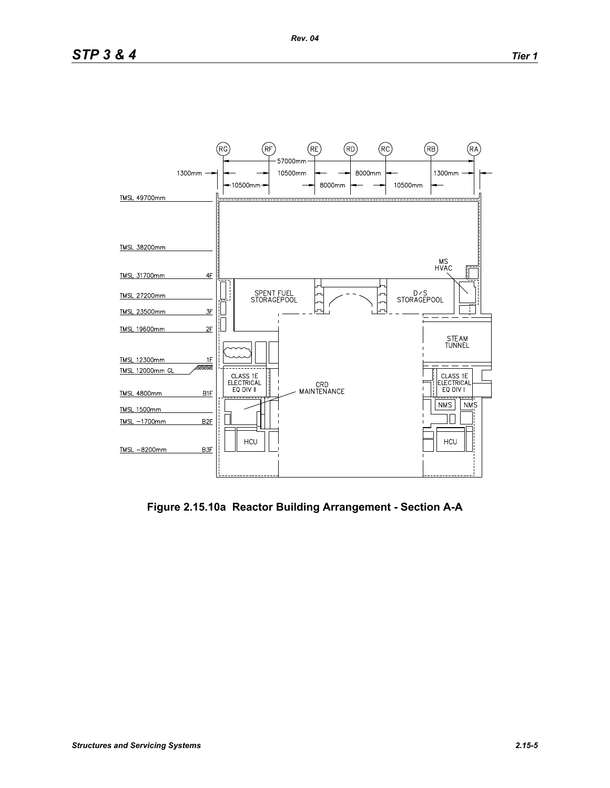

**Figure 2.15.10a Reactor Building Arrangement - Section A-A**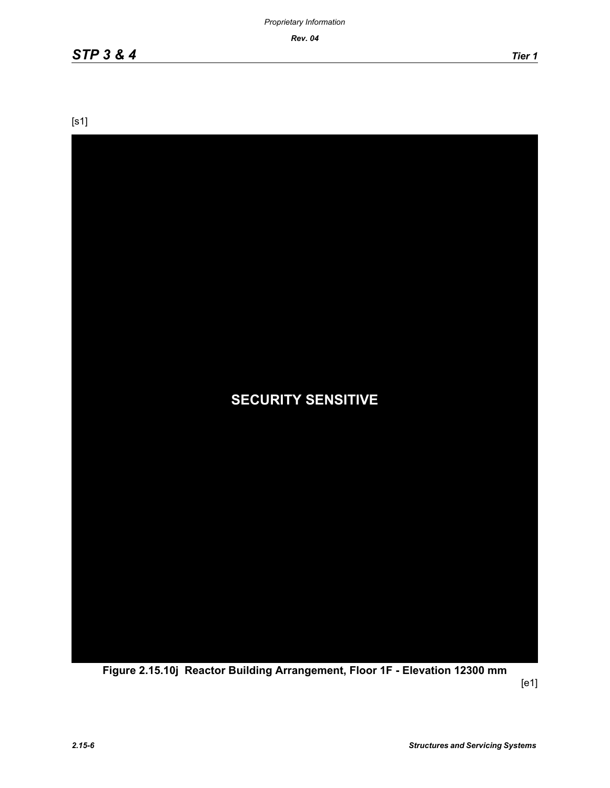*Rev. 04*

[s1]



**Figure 2.15.10j Reactor Building Arrangement, Floor 1F - Elevation 12300 mm**

[e1]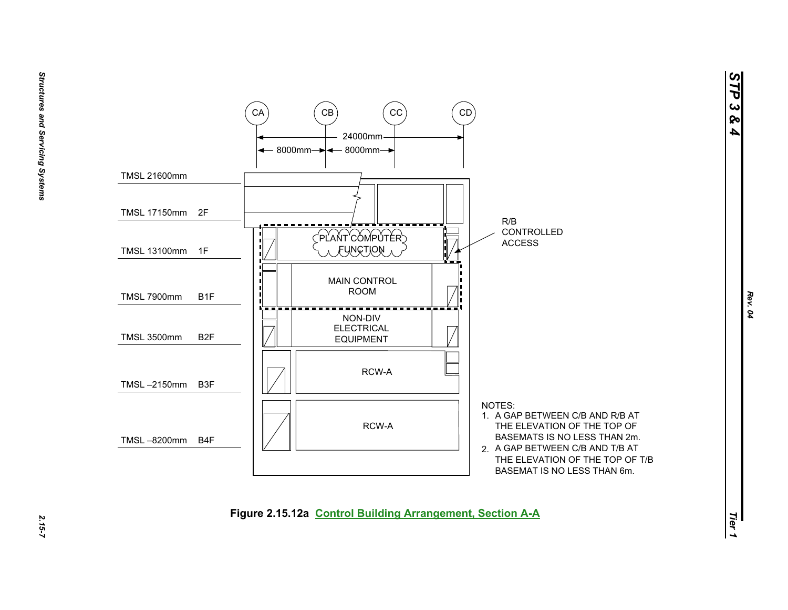*STP 3 & 4*



2.15-7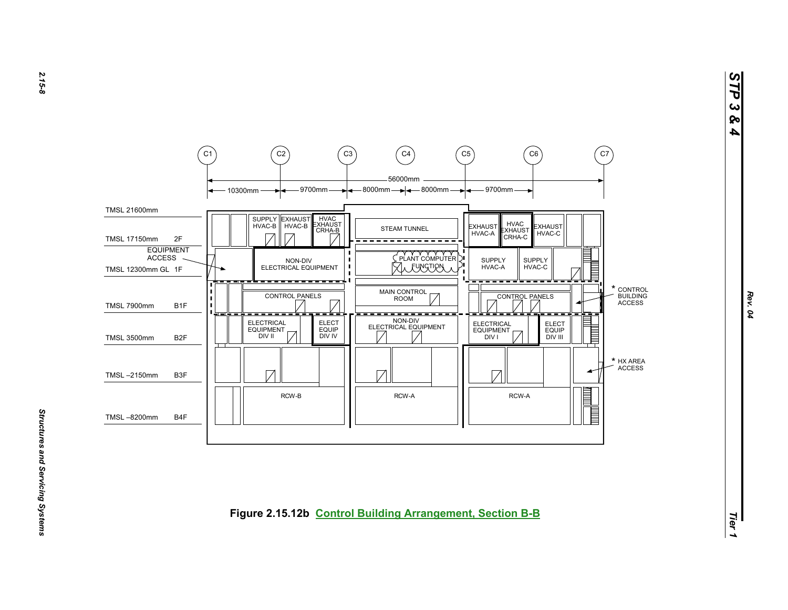

*STP 3 & 4*